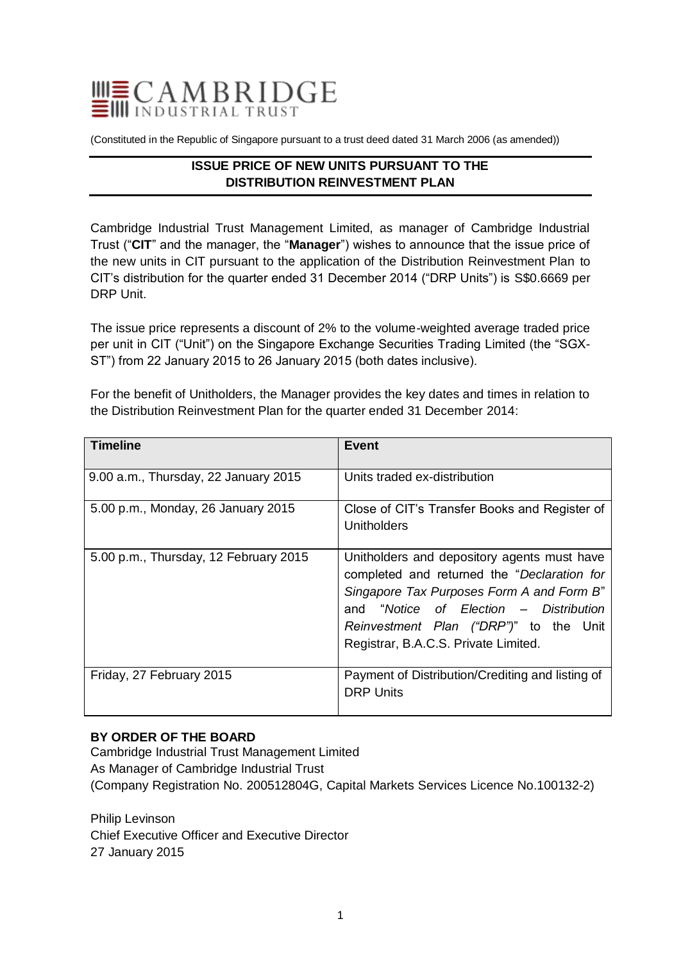

(Constituted in the Republic of Singapore pursuant to a trust deed dated 31 March 2006 (as amended))

# **ISSUE PRICE OF NEW UNITS PURSUANT TO THE DISTRIBUTION REINVESTMENT PLAN**

Cambridge Industrial Trust Management Limited, as manager of Cambridge Industrial Trust ("**CIT**" and the manager, the "**Manager**") wishes to announce that the issue price of the new units in CIT pursuant to the application of the Distribution Reinvestment Plan to CIT's distribution for the quarter ended 31 December 2014 ("DRP Units") is S\$0.6669 per DRP Unit.

The issue price represents a discount of 2% to the volume-weighted average traded price per unit in CIT ("Unit") on the Singapore Exchange Securities Trading Limited (the "SGX-ST") from 22 January 2015 to 26 January 2015 (both dates inclusive).

For the benefit of Unitholders, the Manager provides the key dates and times in relation to the Distribution Reinvestment Plan for the quarter ended 31 December 2014:

| <b>Timeline</b>                       | Event                                                                                                                                                                                                                                                               |
|---------------------------------------|---------------------------------------------------------------------------------------------------------------------------------------------------------------------------------------------------------------------------------------------------------------------|
| 9.00 a.m., Thursday, 22 January 2015  | Units traded ex-distribution                                                                                                                                                                                                                                        |
| 5.00 p.m., Monday, 26 January 2015    | Close of CIT's Transfer Books and Register of<br>Unitholders                                                                                                                                                                                                        |
| 5.00 p.m., Thursday, 12 February 2015 | Unitholders and depository agents must have<br>completed and returned the "Declaration for<br>Singapore Tax Purposes Form A and Form B"<br>and "Notice of Election – Distribution<br>Reinvestment Plan ("DRP")" to the Unit<br>Registrar, B.A.C.S. Private Limited. |
| Friday, 27 February 2015              | Payment of Distribution/Crediting and listing of<br><b>DRP Units</b>                                                                                                                                                                                                |

## **BY ORDER OF THE BOARD**

Cambridge Industrial Trust Management Limited As Manager of Cambridge Industrial Trust (Company Registration No. 200512804G, Capital Markets Services Licence No.100132-2)

Philip Levinson Chief Executive Officer and Executive Director 27 January 2015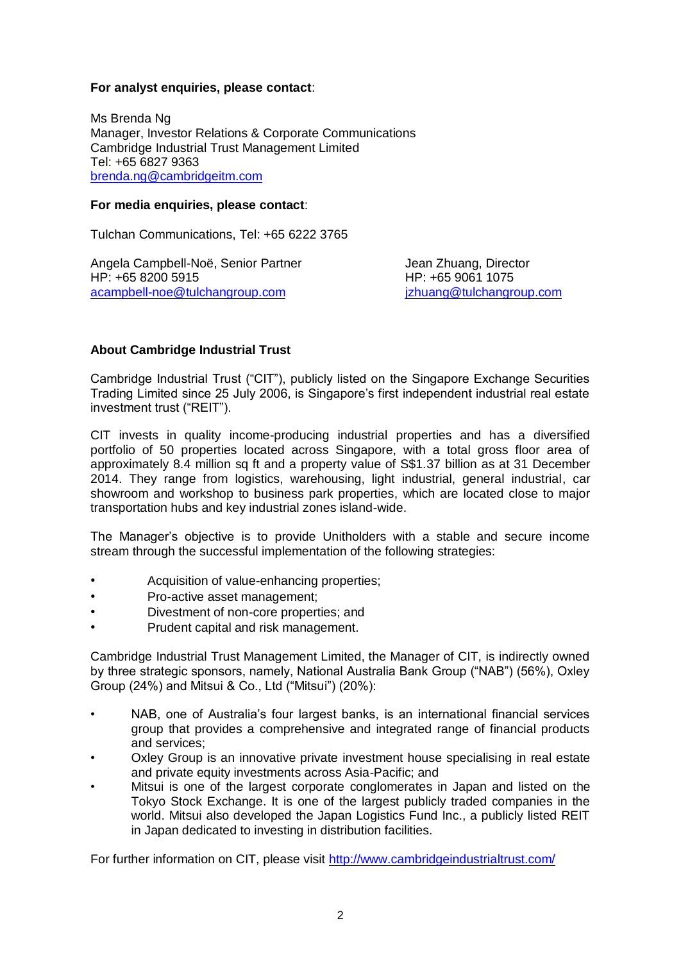## **For analyst enquiries, please contact**:

Ms Brenda Ng Manager, Investor Relations & Corporate Communications Cambridge Industrial Trust Management Limited Tel: +65 6827 9363 [brenda.ng@cambridgeitm.com](mailto:brenda.ng@cambridgeitm.com)

#### **For media enquiries, please contact**:

Tulchan Communications, Tel: +65 6222 3765

Angela Campbell-Noë, Senior Partner Theodyne Heart Zhuang, Director HP: +65 8200 5915 HP: +65 9061 1075 [acampbell-noe@tulchangroup.com](mailto:acampbell-noe@tulchangroup.com) [jzhuang@tulchangroup.com](mailto:jzhuang@tulchangroup.com)

## **About Cambridge Industrial Trust**

Cambridge Industrial Trust ("CIT"), publicly listed on the Singapore Exchange Securities Trading Limited since 25 July 2006, is Singapore's first independent industrial real estate investment trust ("REIT").

CIT invests in quality income-producing industrial properties and has a diversified portfolio of 50 properties located across Singapore, with a total gross floor area of approximately 8.4 million sq ft and a property value of S\$1.37 billion as at 31 December 2014. They range from logistics, warehousing, light industrial, general industrial, car showroom and workshop to business park properties, which are located close to major transportation hubs and key industrial zones island-wide.

The Manager's objective is to provide Unitholders with a stable and secure income stream through the successful implementation of the following strategies:

- Acquisition of value-enhancing properties;
- Pro-active asset management;
- Divestment of non-core properties; and
- Prudent capital and risk management.

Cambridge Industrial Trust Management Limited, the Manager of CIT, is indirectly owned by three strategic sponsors, namely, National Australia Bank Group ("NAB") (56%), Oxley Group (24%) and Mitsui & Co., Ltd ("Mitsui") (20%):

- NAB, one of Australia's four largest banks, is an international financial services group that provides a comprehensive and integrated range of financial products and services;
- Oxley Group is an innovative private investment house specialising in real estate and private equity investments across Asia-Pacific; and
- Mitsui is one of the largest corporate conglomerates in Japan and listed on the Tokyo Stock Exchange. It is one of the largest publicly traded companies in the world. Mitsui also developed the Japan Logistics Fund Inc., a publicly listed REIT in Japan dedicated to investing in distribution facilities.

For further information on CIT, please visit<http://www.cambridgeindustrialtrust.com/>